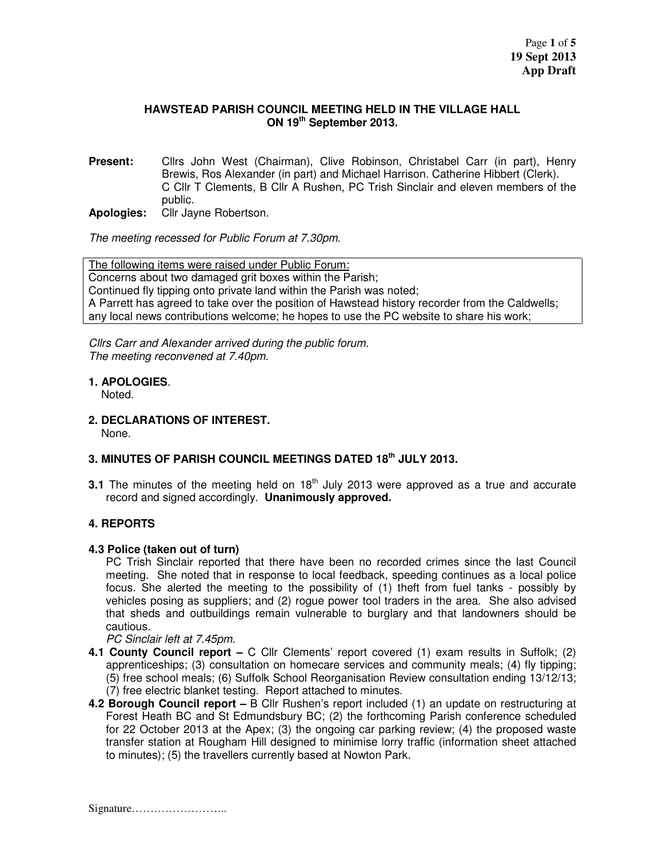### **HAWSTEAD PARISH COUNCIL MEETING HELD IN THE VILLAGE HALL ON 19th September 2013.**

**Present:** Cllrs John West (Chairman), Clive Robinson, Christabel Carr (in part), Henry Brewis, Ros Alexander (in part) and Michael Harrison. Catherine Hibbert (Clerk). C Cllr T Clements, B Cllr A Rushen, PC Trish Sinclair and eleven members of the public.

**Apologies:** Cllr Jayne Robertson.

The meeting recessed for Public Forum at 7.30pm.

The following items were raised under Public Forum: Concerns about two damaged grit boxes within the Parish; Continued fly tipping onto private land within the Parish was noted; A Parrett has agreed to take over the position of Hawstead history recorder from the Caldwells; any local news contributions welcome; he hopes to use the PC website to share his work;

Cllrs Carr and Alexander arrived during the public forum. The meeting reconvened at 7.40pm.

## **1. APOLOGIES**.

Noted.

**2. DECLARATIONS OF INTEREST.** 

None.

# **3. MINUTES OF PARISH COUNCIL MEETINGS DATED 18th JULY 2013.**

**3.1** The minutes of the meeting held on  $18<sup>th</sup>$  July 2013 were approved as a true and accurate record and signed accordingly. **Unanimously approved.** 

### **4. REPORTS**

### **4.3 Police (taken out of turn)**

PC Trish Sinclair reported that there have been no recorded crimes since the last Council meeting. She noted that in response to local feedback, speeding continues as a local police focus. She alerted the meeting to the possibility of (1) theft from fuel tanks - possibly by vehicles posing as suppliers; and (2) rogue power tool traders in the area. She also advised that sheds and outbuildings remain vulnerable to burglary and that landowners should be cautious.

PC Sinclair left at 7.45pm.

- **4.1 County Council report** C Cllr Clements' report covered (1) exam results in Suffolk; (2) apprenticeships; (3) consultation on homecare services and community meals; (4) fly tipping; (5) free school meals; (6) Suffolk School Reorganisation Review consultation ending 13/12/13; (7) free electric blanket testing. Report attached to minutes.
- **4.2 Borough Council report** B Cllr Rushen's report included (1) an update on restructuring at Forest Heath BC and St Edmundsbury BC; (2) the forthcoming Parish conference scheduled for 22 October 2013 at the Apex; (3) the ongoing car parking review; (4) the proposed waste transfer station at Rougham Hill designed to minimise lorry traffic (information sheet attached to minutes); (5) the travellers currently based at Nowton Park.

Signature……………………..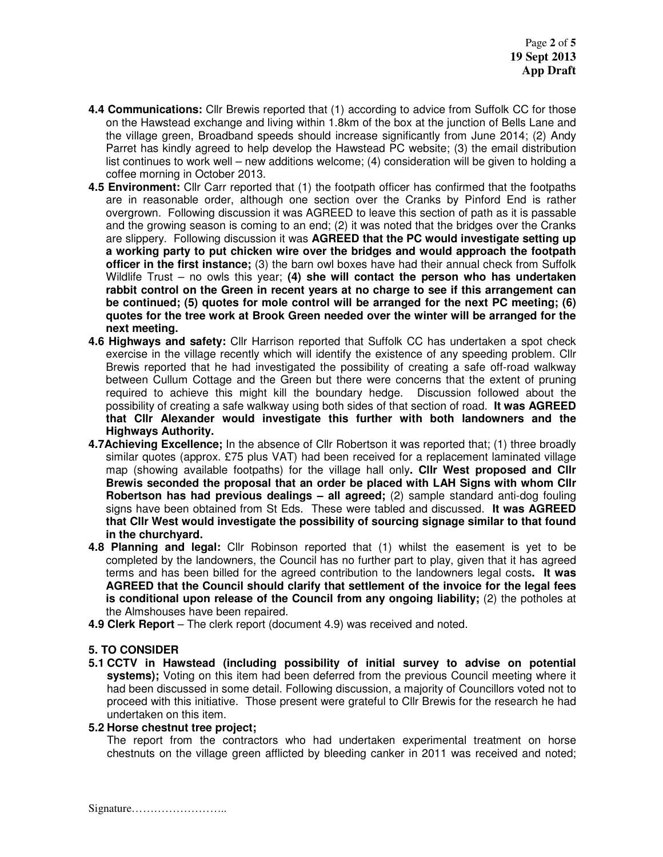- **4.4 Communications:** Cllr Brewis reported that (1) according to advice from Suffolk CC for those on the Hawstead exchange and living within 1.8km of the box at the junction of Bells Lane and the village green, Broadband speeds should increase significantly from June 2014; (2) Andy Parret has kindly agreed to help develop the Hawstead PC website; (3) the email distribution list continues to work well – new additions welcome; (4) consideration will be given to holding a coffee morning in October 2013.
- **4.5 Environment:** Cllr Carr reported that (1) the footpath officer has confirmed that the footpaths are in reasonable order, although one section over the Cranks by Pinford End is rather overgrown. Following discussion it was AGREED to leave this section of path as it is passable and the growing season is coming to an end; (2) it was noted that the bridges over the Cranks are slippery. Following discussion it was **AGREED that the PC would investigate setting up a working party to put chicken wire over the bridges and would approach the footpath officer in the first instance;** (3) the barn owl boxes have had their annual check from Suffolk Wildlife Trust – no owls this year; **(4) she will contact the person who has undertaken rabbit control on the Green in recent years at no charge to see if this arrangement can be continued; (5) quotes for mole control will be arranged for the next PC meeting; (6) quotes for the tree work at Brook Green needed over the winter will be arranged for the next meeting.**
- **4.6 Highways and safety:** Cllr Harrison reported that Suffolk CC has undertaken a spot check exercise in the village recently which will identify the existence of any speeding problem. Cllr Brewis reported that he had investigated the possibility of creating a safe off-road walkway between Cullum Cottage and the Green but there were concerns that the extent of pruning required to achieve this might kill the boundary hedge. Discussion followed about the possibility of creating a safe walkway using both sides of that section of road. **It was AGREED that Cllr Alexander would investigate this further with both landowners and the Highways Authority.**
- **4.7Achieving Excellence;** In the absence of Cllr Robertson it was reported that; (1) three broadly similar quotes (approx. £75 plus VAT) had been received for a replacement laminated village map (showing available footpaths) for the village hall only**. Cllr West proposed and Cllr Brewis seconded the proposal that an order be placed with LAH Signs with whom Cllr Robertson has had previous dealings – all agreed;** (2) sample standard anti-dog fouling signs have been obtained from St Eds. These were tabled and discussed. **It was AGREED that Cllr West would investigate the possibility of sourcing signage similar to that found in the churchyard.**
- **4.8 Planning and legal:** Cllr Robinson reported that (1) whilst the easement is yet to be completed by the landowners, the Council has no further part to play, given that it has agreed terms and has been billed for the agreed contribution to the landowners legal costs**. It was AGREED that the Council should clarify that settlement of the invoice for the legal fees is conditional upon release of the Council from any ongoing liability;** (2) the potholes at the Almshouses have been repaired.
- **4.9 Clerk Report**  The clerk report (document 4.9) was received and noted.

### **5. TO CONSIDER**

**5.1 CCTV in Hawstead (including possibility of initial survey to advise on potential systems);** Voting on this item had been deferred from the previous Council meeting where it had been discussed in some detail. Following discussion, a majority of Councillors voted not to proceed with this initiative. Those present were grateful to Cllr Brewis for the research he had undertaken on this item.

#### **5.2 Horse chestnut tree project;**

The report from the contractors who had undertaken experimental treatment on horse chestnuts on the village green afflicted by bleeding canker in 2011 was received and noted;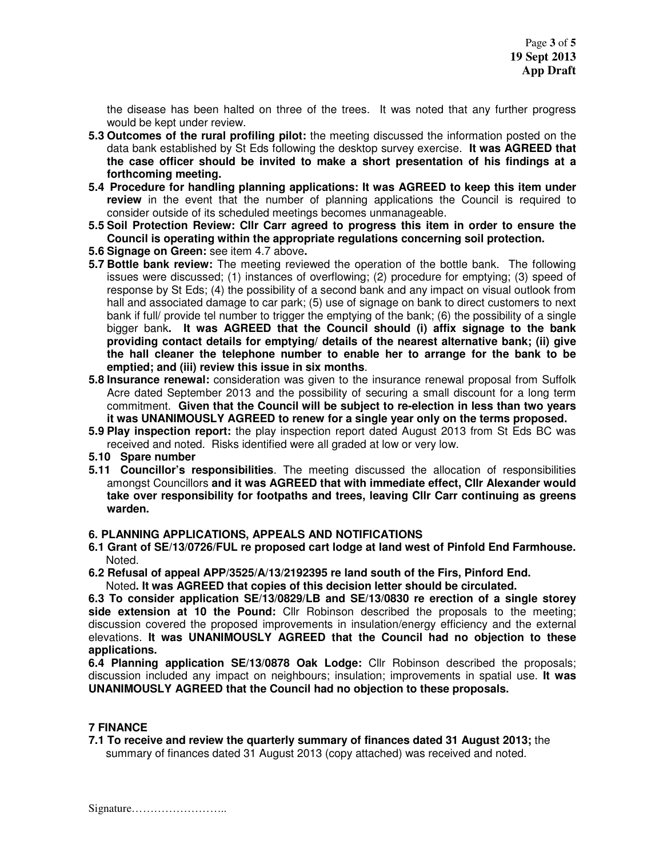the disease has been halted on three of the trees. It was noted that any further progress would be kept under review.

- **5.3 Outcomes of the rural profiling pilot:** the meeting discussed the information posted on the data bank established by St Eds following the desktop survey exercise. **It was AGREED that the case officer should be invited to make a short presentation of his findings at a forthcoming meeting.**
- **5.4 Procedure for handling planning applications: It was AGREED to keep this item under review** in the event that the number of planning applications the Council is required to consider outside of its scheduled meetings becomes unmanageable.
- **5.5 Soil Protection Review: Cllr Carr agreed to progress this item in order to ensure the Council is operating within the appropriate regulations concerning soil protection.**
- **5.6 Signage on Green:** see item 4.7 above**.**
- **5.7 Bottle bank review:** The meeting reviewed the operation of the bottle bank. The following issues were discussed; (1) instances of overflowing; (2) procedure for emptying; (3) speed of response by St Eds; (4) the possibility of a second bank and any impact on visual outlook from hall and associated damage to car park; (5) use of signage on bank to direct customers to next bank if full/ provide tel number to trigger the emptying of the bank; (6) the possibility of a single bigger bank**. It was AGREED that the Council should (i) affix signage to the bank providing contact details for emptying/ details of the nearest alternative bank; (ii) give the hall cleaner the telephone number to enable her to arrange for the bank to be emptied; and (iii) review this issue in six months**.
- **5.8 Insurance renewal:** consideration was given to the insurance renewal proposal from Suffolk Acre dated September 2013 and the possibility of securing a small discount for a long term commitment. **Given that the Council will be subject to re-election in less than two years it was UNANIMOUSLY AGREED to renew for a single year only on the terms proposed.**
- **5.9 Play inspection report:** the play inspection report dated August 2013 from St Eds BC was received and noted. Risks identified were all graded at low or very low.
- **5.10 Spare number**
- **5.11 Councillor's responsibilities**. The meeting discussed the allocation of responsibilities amongst Councillors **and it was AGREED that with immediate effect, Cllr Alexander would take over responsibility for footpaths and trees, leaving Cllr Carr continuing as greens warden.**

#### **6. PLANNING APPLICATIONS, APPEALS AND NOTIFICATIONS**

**6.1 Grant of SE/13/0726/FUL re proposed cart lodge at land west of Pinfold End Farmhouse.**  Noted.

**6.2 Refusal of appeal APP/3525/A/13/2192395 re land south of the Firs, Pinford End.**  Noted**. It was AGREED that copies of this decision letter should be circulated.** 

**6.3 To consider application SE/13/0829/LB and SE/13/0830 re erection of a single storey side extension at 10 the Pound:** Cllr Robinson described the proposals to the meeting; discussion covered the proposed improvements in insulation/energy efficiency and the external elevations. **It was UNANIMOUSLY AGREED that the Council had no objection to these applications.** 

**6.4 Planning application SE/13/0878 Oak Lodge:** Cllr Robinson described the proposals; discussion included any impact on neighbours; insulation; improvements in spatial use. **It was UNANIMOUSLY AGREED that the Council had no objection to these proposals.** 

### **7 FINANCE**

**7.1 To receive and review the quarterly summary of finances dated 31 August 2013;** the summary of finances dated 31 August 2013 (copy attached) was received and noted.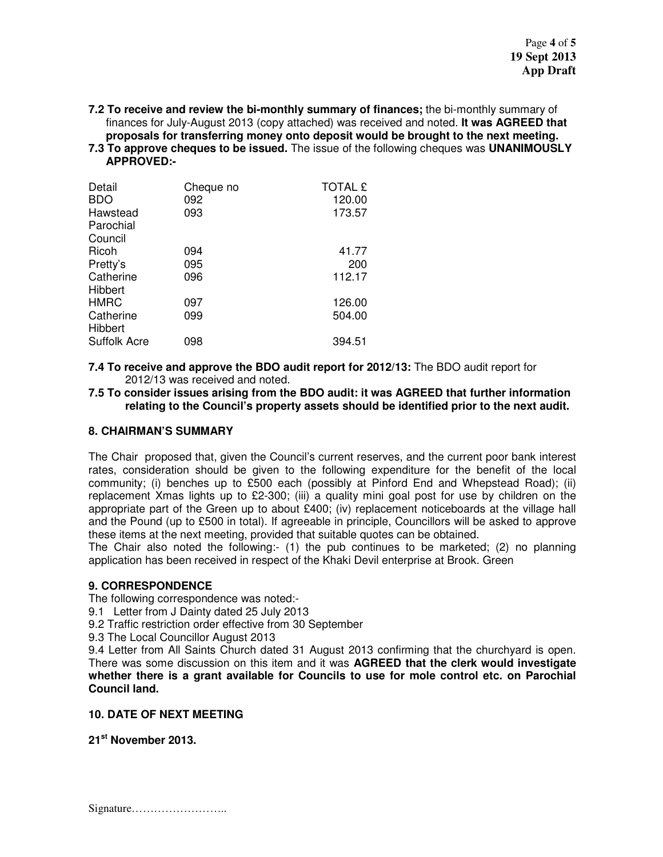**7.2 To receive and review the bi-monthly summary of finances;** the bi-monthly summary of finances for July-August 2013 (copy attached) was received and noted. **It was AGREED that proposals for transferring money onto deposit would be brought to the next meeting.** 

**7.3 To approve cheques to be issued.** The issue of the following cheques was **UNANIMOUSLY APPROVED:-** 

| Detail                | Cheque no | <b>TOTAL £</b> |
|-----------------------|-----------|----------------|
| <b>BDO</b>            | 092       | 120.00         |
| Hawstead<br>Parochial | 093       | 173.57         |
| Council               |           |                |
| Ricoh                 | 094       | 41.77          |
| Pretty's              | 095       | 200            |
| Catherine<br>Hibbert  | 096       | 112.17         |
| <b>HMRC</b>           | 097       | 126.00         |
| Catherine<br>Hibbert  | 099       | 504.00         |
| <b>Suffolk Acre</b>   | 098       | 394.51         |

**7.4 To receive and approve the BDO audit report for 2012/13:** The BDO audit report for 2012/13 was received and noted.

**7.5 To consider issues arising from the BDO audit: it was AGREED that further information relating to the Council's property assets should be identified prior to the next audit.** 

#### **8. CHAIRMAN'S SUMMARY**

The Chair proposed that, given the Council's current reserves, and the current poor bank interest rates, consideration should be given to the following expenditure for the benefit of the local community; (i) benches up to £500 each (possibly at Pinford End and Whepstead Road); (ii) replacement Xmas lights up to £2-300; (iii) a quality mini goal post for use by children on the appropriate part of the Green up to about £400; (iv) replacement noticeboards at the village hall and the Pound (up to £500 in total). If agreeable in principle, Councillors will be asked to approve these items at the next meeting, provided that suitable quotes can be obtained.

The Chair also noted the following:- (1) the pub continues to be marketed; (2) no planning application has been received in respect of the Khaki Devil enterprise at Brook. Green

### **9. CORRESPONDENCE**

The following correspondence was noted:-

9.1 Letter from J Dainty dated 25 July 2013

9.2 Traffic restriction order effective from 30 September

9.3 The Local Councillor August 2013

9.4 Letter from All Saints Church dated 31 August 2013 confirming that the churchyard is open. There was some discussion on this item and it was **AGREED that the clerk would investigate whether there is a grant available for Councils to use for mole control etc. on Parochial Council land.** 

#### **10. DATE OF NEXT MEETING**

**21st November 2013.**